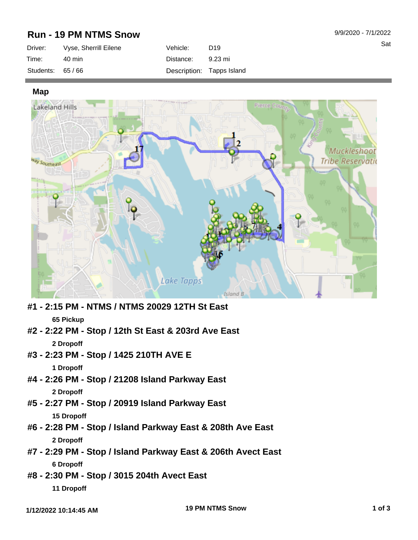## **Run - 19 PM NTMS Snow**

| Driver:           | Vyse, Sherrill Eilene | Vehicle:  | D <sub>19</sub>           |
|-------------------|-----------------------|-----------|---------------------------|
| Time:             | 40 min                | Distance: | 9.23 mi                   |
| Students: $65/66$ |                       |           | Description: Tapps Island |

**Map**



- **#1 2:15 PM NTMS / NTMS 20029 12TH St East 65 Pickup**
- **#2 2:22 PM Stop / 12th St East & 203rd Ave East 2 Dropoff**
- **#3 2:23 PM Stop / 1425 210TH AVE E**

**1 Dropoff**

- **#4 2:26 PM Stop / 21208 Island Parkway East 2 Dropoff**
- **#5 2:27 PM Stop / 20919 Island Parkway East 15 Dropoff**
- **#6 2:28 PM Stop / Island Parkway East & 208th Ave East 2 Dropoff**
- **#7 2:29 PM Stop / Island Parkway East & 206th Avect East 6 Dropoff**
- **#8 2:30 PM Stop / 3015 204th Avect East 11 Dropoff**